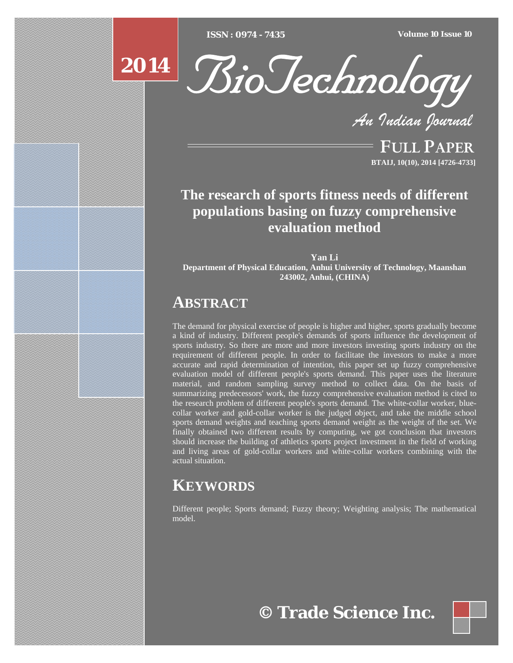[Type text] [Type text] [Type text] *ISSN : 0974 - 7435 Volume 10 Issue 10*





*An Indian Journal*

FULL PAPER **BTAIJ, 10(10), 2014 [4726-4733]**

## **The research of sports fitness needs of different populations basing on fuzzy comprehensive evaluation method**

**Yan Li Department of Physical Education, Anhui University of Technology, Maanshan 243002, Anhui, (CHINA)**

## **ABSTRACT**

The demand for physical exercise of people is higher and higher, sports gradually become a kind of industry. Different people's demands of sports influence the development of sports industry. So there are more and more investors investing sports industry on the requirement of different people. In order to facilitate the investors to make a more accurate and rapid determination of intention, this paper set up fuzzy comprehensive evaluation model of different people's sports demand. This paper uses the literature material, and random sampling survey method to collect data. On the basis of summarizing predecessors' work, the fuzzy comprehensive evaluation method is cited to the research problem of different people's sports demand. The white-collar worker, bluecollar worker and gold-collar worker is the judged object, and take the middle school sports demand weights and teaching sports demand weight as the weight of the set. We finally obtained two different results by computing, we got conclusion that investors should increase the building of athletics sports project investment in the field of working and living areas of gold-collar workers and white-collar workers combining with the actual situation.

# **KEYWORDS**

Different people; Sports demand; Fuzzy theory; Weighting analysis; The mathematical model.

**© Trade Science Inc.**

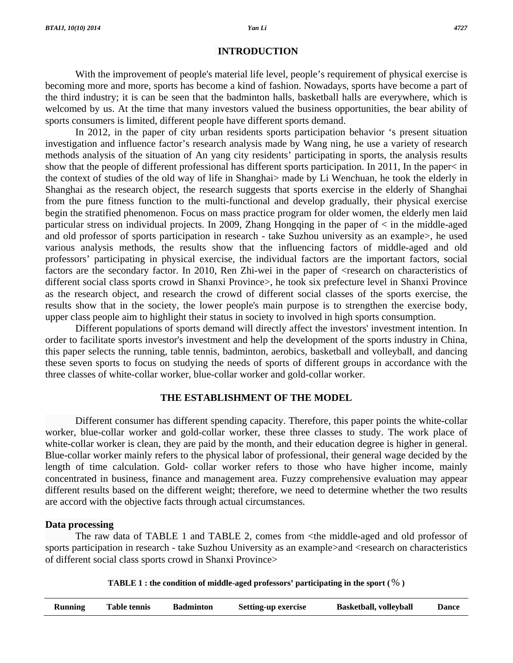#### **INTRODUCTION**

 With the improvement of people's material life level, people's requirement of physical exercise is becoming more and more, sports has become a kind of fashion. Nowadays, sports have become a part of the third industry; it is can be seen that the badminton halls, basketball halls are everywhere, which is welcomed by us. At the time that many investors valued the business opportunities, the bear ability of sports consumers is limited, different people have different sports demand.

 In 2012, in the paper of city urban residents sports participation behavior 's present situation investigation and influence factor's research analysis made by Wang ning, he use a variety of research methods analysis of the situation of An yang city residents' participating in sports, the analysis results show that the people of different professional has different sports participation. In 2011, In the paper< in the context of studies of the old way of life in Shanghai> made by Li Wenchuan, he took the elderly in Shanghai as the research object, the research suggests that sports exercise in the elderly of Shanghai from the pure fitness function to the multi-functional and develop gradually, their physical exercise begin the stratified phenomenon. Focus on mass practice program for older women, the elderly men laid particular stress on individual projects. In 2009, Zhang Hongqing in the paper of < in the middle-aged and old professor of sports participation in research - take Suzhou university as an example>, he used various analysis methods, the results show that the influencing factors of middle-aged and old professors' participating in physical exercise, the individual factors are the important factors, social factors are the secondary factor. In 2010, Ren Zhi-wei in the paper of  $\leq$ research on characteristics of different social class sports crowd in Shanxi Province>, he took six prefecture level in Shanxi Province as the research object, and research the crowd of different social classes of the sports exercise, the results show that in the society, the lower people's main purpose is to strengthen the exercise body, upper class people aim to highlight their status in society to involved in high sports consumption.

 Different populations of sports demand will directly affect the investors' investment intention. In order to facilitate sports investor's investment and help the development of the sports industry in China, this paper selects the running, table tennis, badminton, aerobics, basketball and volleyball, and dancing these seven sports to focus on studying the needs of sports of different groups in accordance with the three classes of white-collar worker, blue-collar worker and gold-collar worker.

## **THE ESTABLISHMENT OF THE MODEL**

 Different consumer has different spending capacity. Therefore, this paper points the white-collar worker, blue-collar worker and gold-collar worker, these three classes to study. The work place of white-collar worker is clean, they are paid by the month, and their education degree is higher in general. Blue-collar worker mainly refers to the physical labor of professional, their general wage decided by the length of time calculation. Gold- collar worker refers to those who have higher income, mainly concentrated in business, finance and management area. Fuzzy comprehensive evaluation may appear different results based on the different weight; therefore, we need to determine whether the two results are accord with the objective facts through actual circumstances.

## **Data processing**

 The raw data of TABLE 1 and TABLE 2, comes from <the middle-aged and old professor of sports participation in research - take Suzhou University as an example > and < research on characteristics of different social class sports crowd in Shanxi Province>

| TABLE 1 : the condition of middle-aged professors' participating in the sport ( $\%$ ) |  |  |
|----------------------------------------------------------------------------------------|--|--|
|                                                                                        |  |  |

|  | <b>Running</b> | <b>Table tennis</b> | <b>Badminton</b> | <b>Setting-up exercise</b> | <b>Basketball, volleyball</b> | <b>Dance</b> |
|--|----------------|---------------------|------------------|----------------------------|-------------------------------|--------------|
|--|----------------|---------------------|------------------|----------------------------|-------------------------------|--------------|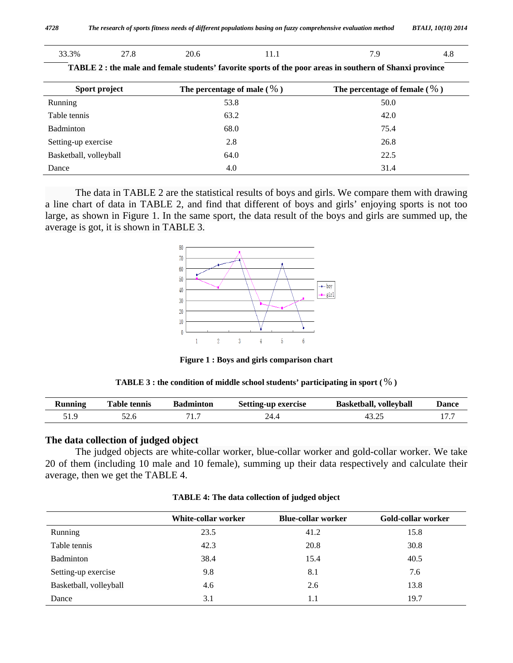| 'I viiviivii v vi wimwivii Iliviivvu | $\boldsymbol{\mu}$ |
|--------------------------------------|--------------------|
|                                      |                    |
|                                      |                    |

|  | 33.3% | 27.8 | 20.6 | <b>TT.T</b> | - | т. О |
|--|-------|------|------|-------------|---|------|
|--|-------|------|------|-------------|---|------|

| Sport project          | The percentage of male $(\% )$ | The percentage of female $(\% )$ |
|------------------------|--------------------------------|----------------------------------|
| Running                | 53.8                           | 50.0                             |
| Table tennis           | 63.2                           | 42.0                             |
| Badminton              | 68.0                           | 75.4                             |
| Setting-up exercise    | 2.8                            | 26.8                             |
| Basketball, volleyball | 64.0                           | 22.5                             |
| Dance                  | 4.0                            | 31.4                             |

**TABLE 2 : the male and female students' favorite sports of the poor areas in southern of Shanxi province** 

 The data in TABLE 2 are the statistical results of boys and girls. We compare them with drawing a line chart of data in TABLE 2, and find that different of boys and girls' enjoying sports is not too large, as shown in Figure 1. In the same sport, the data result of the boys and girls are summed up, the average is got, it is shown in TABLE 3.



**Figure 1 : Boys and girls comparison chart** 

|  | TABLE 3 : the condition of middle school students' participating in sport ( $\%$ ) |  |
|--|------------------------------------------------------------------------------------|--|
|--|------------------------------------------------------------------------------------|--|

| Running | l`able tennis | <b>Badminton</b> | <b>Setting-up exercise</b> | <b>Basketball, volleyball</b> | <b>Dance</b> |
|---------|---------------|------------------|----------------------------|-------------------------------|--------------|
|         | 22.O          | 1.               | $4^{\circ}$                | ن کي ل⊺                       |              |

## **The data collection of judged object**

 The judged objects are white-collar worker, blue-collar worker and gold-collar worker. We take 20 of them (including 10 male and 10 female), summing up their data respectively and calculate their average, then we get the TABLE 4.

|                        | White-collar worker | <b>Blue-collar worker</b> | Gold-collar worker |
|------------------------|---------------------|---------------------------|--------------------|
| Running                | 23.5                | 41.2                      | 15.8               |
| Table tennis           | 42.3                | 20.8                      | 30.8               |
| Badminton              | 38.4                | 15.4                      | 40.5               |
| Setting-up exercise    | 9.8                 | 8.1                       | 7.6                |
| Basketball, volleyball | 4.6                 | 2.6                       | 13.8               |
| Dance                  | 3.1                 | 1.1                       | 19.7               |

**TABLE 4: The data collection of judged object**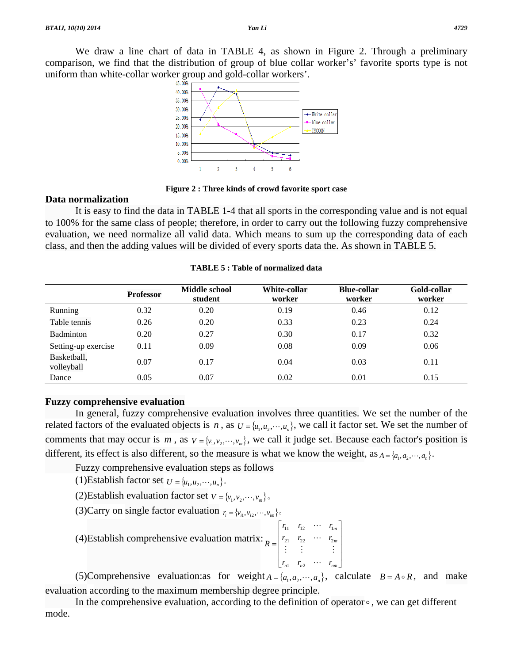We draw a line chart of data in TABLE 4, as shown in Figure 2. Through a preliminary comparison, we find that the distribution of group of blue collar worker's' favorite sports type is not uniform than white-collar worker group and gold-collar workers'.



**Figure 2 : Three kinds of crowd favorite sport case** 

#### **Data normalization**

 It is easy to find the data in TABLE 1-4 that all sports in the corresponding value and is not equal to 100% for the same class of people; therefore, in order to carry out the following fuzzy comprehensive evaluation, we need normalize all valid data. Which means to sum up the corresponding data of each class, and then the adding values will be divided of every sports data the. As shown in TABLE 5.

|                           | <b>Professor</b> | Middle school<br>student | White-collar<br>worker | <b>Blue-collar</b><br>worker | Gold-collar<br>worker |
|---------------------------|------------------|--------------------------|------------------------|------------------------------|-----------------------|
| Running                   | 0.32             | 0.20                     | 0.19                   | 0.46                         | 0.12                  |
| Table tennis              | 0.26             | 0.20                     | 0.33                   | 0.23                         | 0.24                  |
| Badminton                 | 0.20             | 0.27                     | 0.30                   | 0.17                         | 0.32                  |
| Setting-up exercise       | 0.11             | 0.09                     | 0.08                   | 0.09                         | 0.06                  |
| Basketball,<br>volleyball | 0.07             | 0.17                     | 0.04                   | 0.03                         | 0.11                  |
| Dance                     | 0.05             | 0.07                     | 0.02                   | 0.01                         | 0.15                  |

**TABLE 5 : Table of normalized data** 

## **Fuzzy comprehensive evaluation**

 In general, fuzzy comprehensive evaluation involves three quantities. We set the number of the related factors of the evaluated objects is *n*, as  $U = \{u_1, u_2, \dots, u_n\}$ , we call it factor set. We set the number of comments that may occur is *m*, as  $V = \{v_1, v_2, \dots, v_m\}$ , we call it judge set. Because each factor's position is different, its effect is also different, so the measure is what we know the weight, as  $A = \{a_1, a_2, \dots, a_n\}$ .

Fuzzy comprehensive evaluation steps as follows

(1)Establish factor set  $U = \{u_1, u_2, \dots, u_n\}$ .

(2) Establish evaluation factor set 
$$
v = \{v_1, v_2, \dots, v_m\}
$$

(3)Carry on single factor evaluation 
$$
r_i = \{v_{i1}, v_{i2}, \dots, v_{im}\}\circ
$$

 (4)Establish comprehensive evaluation matrix:  $\overline{\phantom{a}}$  $\overline{\phantom{a}}$ ⎥  $\overline{\phantom{a}}$  $\rfloor$  $\overline{\phantom{a}}$  $\mathsf{L}$  $\begin{bmatrix} r_{n1} & r_{n2} & \cdots & r_{nm} \end{bmatrix}$  $=$   $\begin{pmatrix} 21 & 22 & \cdots & 2m \\ 1 & 2 & \cdots & m \end{pmatrix}$ *m*  $r_{21}$   $r_{22}$   $\cdots$  *r*  $r_{11}$   $r_{12}$   $\cdots$   $r_{1n}$ *R*  $\mathcal{L} = \mathcal{L} \times \mathcal{L} \times \mathcal{L}$  $\ddots$  $\ddots$ 21  $\frac{1}{22}$   $\frac{1}{2}$  $11 \t 12 \t 11$ 

(5)Comprehensive evaluation:as for weight  $A = \{a_1, a_2, \dots, a_n\}$ , calculate  $B = A \circ R$ , and make evaluation according to the maximum membership degree principle.

In the comprehensive evaluation, according to the definition of operator  $\circ$ , we can get different mode.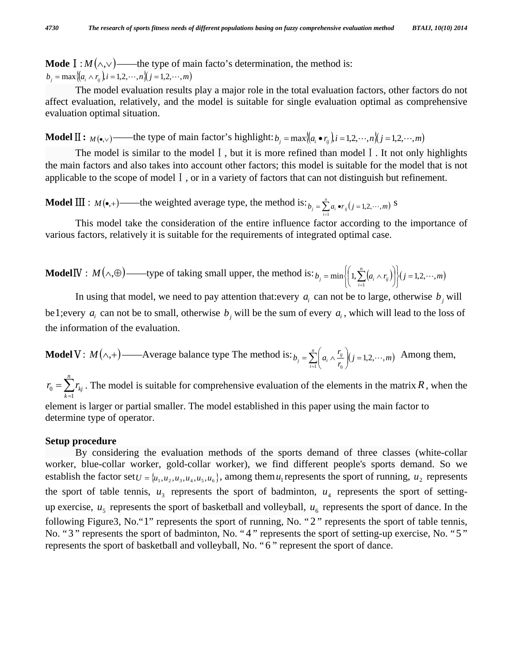**Mode**  $I : M(\land, \lor)$  ——the type of main facto's determination, the method is:  $b_i = \max\{(a_i \wedge r_i)\}, i = 1, 2, \cdots, n\}$  $(j = 1, 2, \cdots, m)$ 

 The model evaluation results play a major role in the total evaluation factors, other factors do not affect evaluation, relatively, and the model is suitable for single evaluation optimal as comprehensive evaluation optimal situation.

**Model**  $\Pi$ :  $M(\bullet, \vee)$  ——the type of main factor's highlight:  $b_j = \max\{(a_i \bullet r_{ij})\}$ *i* = 1,2,  $\cdots$ ,  $n\}(j = 1, 2, \cdots, m)$ 

The model is similar to the model I, but it is more refined than model I. It not only highlights the main factors and also takes into account other factors; this model is suitable for the model that is not applicable to the scope of modelⅠ, or in a variety of factors that can not distinguish but refinement.

**Model**  $\text{III}: M(\bullet, +)$ ——the weighted average type, the method is:  $b_i = \sum_{i=1}^{n} a_i \cdot r_{ii} (j = 1, 2, \dots, m)$  $\mathbf{y}_j = \sum_{i=1}^n a_i \bullet r_{ij} (j = 1, 2, \cdots, m)$  S

 This model take the consideration of the entire influence factor according to the importance of various factors, relatively it is suitable for the requirements of integrated optimal case.

**ModelIV**: 
$$
M(\wedge, \oplus)
$$
—type of taking small upper, the method is:  $b_j = \min \left\{ \left( 1, \sum_{i=1}^n (a_i \wedge r_{ij}) \right) \right\} (j = 1, 2, \dots, m)$ 

In using that model, we need to pay attention that: every  $a_i$  can not be to large, otherwise  $b_i$  will be1;every  $a_i$  can not be to small, otherwise  $b_i$  will be the sum of every  $a_i$ , which will lead to the loss of the information of the evaluation.

**Model V**: 
$$
M(\wedge, +)
$$
 — Average balance type The method is:  $b_j = \sum_{i=1}^n \left( a_i \wedge \frac{r_{ij}}{r_0} \right) (j = 1, 2, \dots, m)$  Among them,

 $=\sum_{k=1}$ *n k*  $r_0 = \sum r_{kj}$ 1  $\zeta_0 = \sum r_{kj}$ . The model is suitable for comprehensive evaluation of the elements in the matrix *R*, when the element is larger or partial smaller. The model established in this paper using the main factor to determine type of operator.

## **Setup procedure**

 By considering the evaluation methods of the sports demand of three classes (white-collar worker, blue-collar worker, gold-collar worker), we find different people's sports demand. So we establish the factor set  $U = \{u_1, u_2, u_3, u_4, u_5, u_6\}$ , among them  $u_1$  represents the sport of running,  $u_2$  represents the sport of table tennis,  $u_3$  represents the sport of badminton,  $u_4$  represents the sport of settingup exercise,  $u_5$  represents the sport of basketball and volleyball,  $u_6$  represents the sport of dance. In the following Figure3, No."1" represents the sport of running, No. "2" represents the sport of table tennis, No. "3 " represents the sport of badminton, No. " 4 " represents the sport of setting-up exercise, No. "5 " represents the sport of basketball and volleyball, No. " 6 " represent the sport of dance.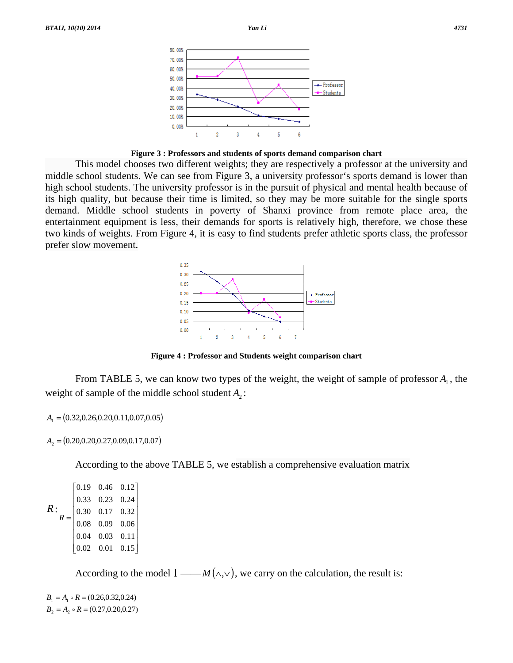



 This model chooses two different weights; they are respectively a professor at the university and middle school students. We can see from Figure 3, a university professor's sports demand is lower than high school students. The university professor is in the pursuit of physical and mental health because of its high quality, but because their time is limited, so they may be more suitable for the single sports demand. Middle school students in poverty of Shanxi province from remote place area, the entertainment equipment is less, their demands for sports is relatively high, therefore, we chose these two kinds of weights. From Figure 4, it is easy to find students prefer athletic sports class, the professor prefer slow movement.



**Figure 4 : Professor and Students weight comparison chart** 

From TABLE 5, we can know two types of the weight, the weight of sample of professor  $A_1$ , the weight of sample of the middle school student  $A_2$ :

$$
A_1 = (0.32, 0.26, 0.20, 0.11, 0.07, 0.05)
$$

 $A_2 = (0.20, 0.20, 0.27, 0.09, 0.17, 0.07)$ 

According to the above TABLE 5, we establish a comprehensive evaluation matrix

```
R:
                                                                     \overline{\phantom{a}}⎥
                                                                     ⎥
                                                                     ⎥
                                                                     ⎥
                                                                     \overline{\phantom{a}}\overline{\phantom{a}}\begin{bmatrix} 0.02 & 0.01 & 0.15 \end{bmatrix}\begin{bmatrix} 0.19 & 0.46 & 0.12 \end{bmatrix}\begin{array}{|ccc} 0.04 & 0.03 & 0.11 \end{array}⎢
0.30 0.17 0.32
                     \begin{array}{|ccc} 0.33 & 0.23 & 0.24 \end{array}\begin{bmatrix} 0.02 & 0.01 & 0.15 \end{bmatrix}=
R
                                       0.08 0.09 0.06
```
According to the model  $I \longrightarrow M(\wedge, \vee)$ , we carry on the calculation, the result is:

 $B_2 = A_2 \circ R = (0.27, 0.20, 0.27)$  $B_1 = A_1 \circ R = (0.26, 0.32, 0.24)$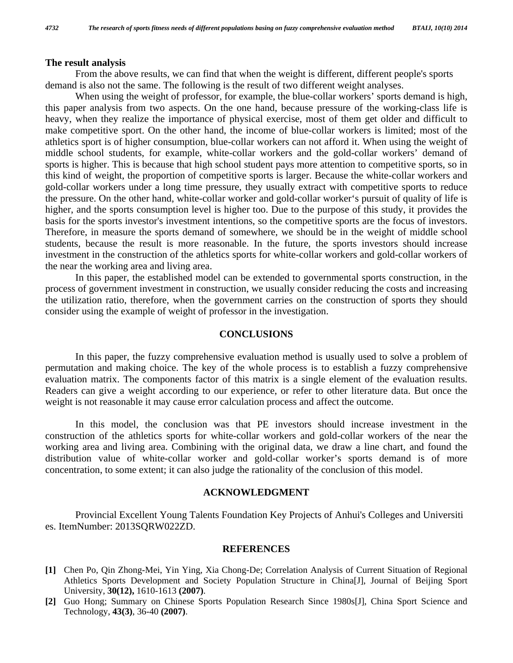#### **The result analysis**

 From the above results, we can find that when the weight is different, different people's sports demand is also not the same. The following is the result of two different weight analyses.

When using the weight of professor, for example, the blue-collar workers' sports demand is high, this paper analysis from two aspects. On the one hand, because pressure of the working-class life is heavy, when they realize the importance of physical exercise, most of them get older and difficult to make competitive sport. On the other hand, the income of blue-collar workers is limited; most of the athletics sport is of higher consumption, blue-collar workers can not afford it. When using the weight of middle school students, for example, white-collar workers and the gold-collar workers' demand of sports is higher. This is because that high school student pays more attention to competitive sports, so in this kind of weight, the proportion of competitive sports is larger. Because the white-collar workers and gold-collar workers under a long time pressure, they usually extract with competitive sports to reduce the pressure. On the other hand, white-collar worker and gold-collar worker's pursuit of quality of life is higher, and the sports consumption level is higher too. Due to the purpose of this study, it provides the basis for the sports investor's investment intentions, so the competitive sports are the focus of investors. Therefore, in measure the sports demand of somewhere, we should be in the weight of middle school students, because the result is more reasonable. In the future, the sports investors should increase investment in the construction of the athletics sports for white-collar workers and gold-collar workers of the near the working area and living area.

 In this paper, the established model can be extended to governmental sports construction, in the process of government investment in construction, we usually consider reducing the costs and increasing the utilization ratio, therefore, when the government carries on the construction of sports they should consider using the example of weight of professor in the investigation.

### **CONCLUSIONS**

 In this paper, the fuzzy comprehensive evaluation method is usually used to solve a problem of permutation and making choice. The key of the whole process is to establish a fuzzy comprehensive evaluation matrix. The components factor of this matrix is a single element of the evaluation results. Readers can give a weight according to our experience, or refer to other literature data. But once the weight is not reasonable it may cause error calculation process and affect the outcome.

 In this model, the conclusion was that PE investors should increase investment in the construction of the athletics sports for white-collar workers and gold-collar workers of the near the working area and living area. Combining with the original data, we draw a line chart, and found the distribution value of white-collar worker and gold-collar worker's sports demand is of more concentration, to some extent; it can also judge the rationality of the conclusion of this model.

#### **ACKNOWLEDGMENT**

 Provincial Excellent Young Talents Foundation Key Projects of Anhui's Colleges and Universiti es. ItemNumber: 2013SQRW022ZD.

#### **REFERENCES**

- **[1]** Chen Po, Qin Zhong-Mei, Yin Ying, Xia Chong-De; Correlation Analysis of Current Situation of Regional Athletics Sports Development and Society Population Structure in China[J], Journal of Beijing Sport University, **30(12),** 1610-1613 **(2007)**.
- **[2]** Guo Hong; Summary on Chinese Sports Population Research Since 1980s[J], China Sport Science and Technology, **43(3)**, 36-40 **(2007)**.